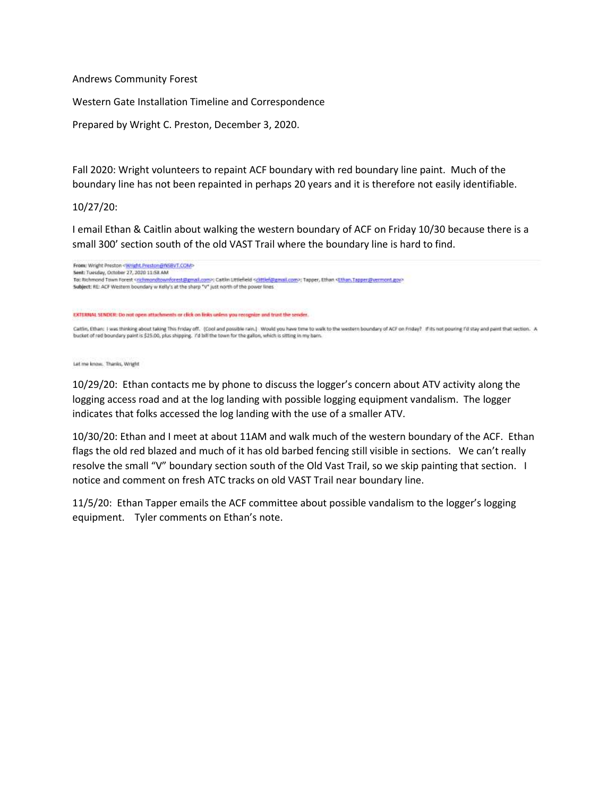Andrews Community Forest

Western Gate Installation Timeline and Correspondence

Prepared by Wright C. Preston, December 3, 2020.

Fall 2020: Wright volunteers to repaint ACF boundary with red boundary line paint. Much of the boundary line has not been repainted in perhaps 20 years and it is therefore not easily identifiable.

### 10/27/20:

I email Ethan & Caitlin about walking the western boundary of ACF on Friday 10/30 because there is a small 300' section south of the old VAST Trail where the boundary line is hard to find.



Let me know. Thanks, Wright

10/29/20: Ethan contacts me by phone to discuss the logger's concern about ATV activity along the logging access road and at the log landing with possible logging equipment vandalism. The logger indicates that folks accessed the log landing with the use of a smaller ATV.

10/30/20: Ethan and I meet at about 11AM and walk much of the western boundary of the ACF. Ethan flags the old red blazed and much of it has old barbed fencing still visible in sections. We can't really resolve the small "V" boundary section south of the Old Vast Trail, so we skip painting that section. I notice and comment on fresh ATC tracks on old VAST Trail near boundary line.

11/5/20: Ethan Tapper emails the ACF committee about possible vandalism to the logger's logging equipment. Tyler comments on Ethan's note.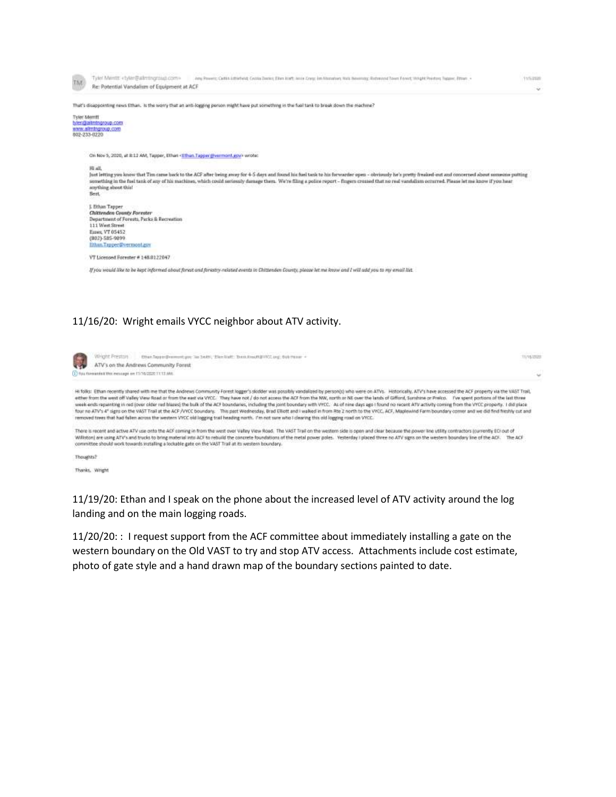

## 11/16/20: Wright emails VYCC neighbor about ATV activity.

| Wright Preston exust to performant you be been, then but to contract print and the most in<br>ATV's on the Andrews Community Forest                                                                                                                                                                                                                                                                                                                                                                                                                                                                                                                                                                                                                                                                                                                                                                                                                                                                                                                              | <b>TURGOGE</b> |
|------------------------------------------------------------------------------------------------------------------------------------------------------------------------------------------------------------------------------------------------------------------------------------------------------------------------------------------------------------------------------------------------------------------------------------------------------------------------------------------------------------------------------------------------------------------------------------------------------------------------------------------------------------------------------------------------------------------------------------------------------------------------------------------------------------------------------------------------------------------------------------------------------------------------------------------------------------------------------------------------------------------------------------------------------------------|----------------|
| 12 You forwards it this miniage on 11/16/2020 11:11 AM.                                                                                                                                                                                                                                                                                                                                                                                                                                                                                                                                                                                                                                                                                                                                                                                                                                                                                                                                                                                                          | $\omega$       |
| Hi folks: Ethan recently shared with me that the Andrews Community Forest logger's skidder was possibly vandalized by personis) who were on ATVs. Historically, ATV's have accessed the ACF property via the VAST Trail,<br>either from the used off Valley View Road or from the east via VYCE. They have not / do not access the ACF from the NW, north or NE over the lands of Gifford, Sunshine or Prefco. Five spent portions of the last three<br>week-ends repainting in red (over older red blazes) the bulk of the ACF boundaries, including the joint boundary with VYCC. As of nine days ago I found no recent ATV activity coming from the VYCC property. I did place<br>four no ATV's 4" signs on the VAST Trail at the ACF /VYCC boundary. This past Wednesday, Brad Elliott and I walked in from Rte 2 north to the VYCC, ACF, Maplewind Farm boundary comer and we did find freshly cut and<br>removed trees that had fallen across the western VVCC old logging trail heading north. I'm not sure who I clearing this old logging road on VVCC. |                |
| There is recent and active ATV use onto the ACF coming in from the west over Valley View Road. The VAST Trail on the western side is open and clear because the power line utility contractors (currently ECI out of<br>Williston) are using ATV's and trucks to bring material into ACF to rebuild the concrete foundations of the metal power poles. Vesterday I placed three to ATV signs on the western boundary line of the ACF. The ACF<br>committee should work towards installing a lockable gate on the VAST Trail at its western boundary.                                                                                                                                                                                                                                                                                                                                                                                                                                                                                                             |                |

Thoughts?

Thanks, Wright

11/19/20: Ethan and I speak on the phone about the increased level of ATV activity around the log landing and on the main logging roads.

11/20/20: : I request support from the ACF committee about immediately installing a gate on the western boundary on the Old VAST to try and stop ATV access. Attachments include cost estimate, photo of gate style and a hand drawn map of the boundary sections painted to date.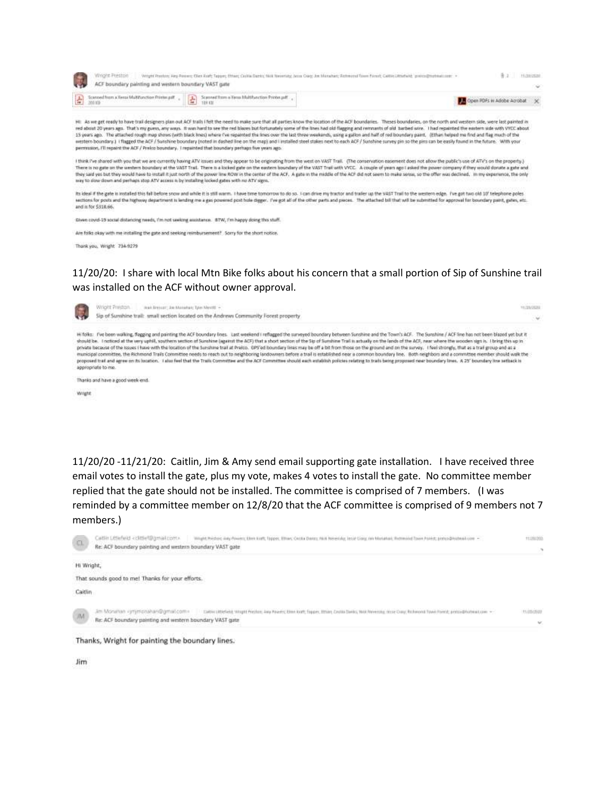|                                                                                                                                                                                                                                                                                                                                                    | × |
|----------------------------------------------------------------------------------------------------------------------------------------------------------------------------------------------------------------------------------------------------------------------------------------------------------------------------------------------------|---|
| Scanned from a Xerga Maltifunction Printinuali<br>$\begin{tabular}{ c c c c } \hline \textbf{L} & \textbf{Scant frame} & \textbf{Fpos Maff} & \textbf{Froder} & \textbf{F} \\ \hline \textbf{L} & \textbf{H} & \textbf{H} & \textbf{H} \\ \hline \end{tabular}$<br>Scienced from a Terra Maltifunction Printin pdf<br>Open PDFs in Adobe Acrobat X |   |
|                                                                                                                                                                                                                                                                                                                                                    |   |

I think I've shared with you that we are currently having ATV issues and they appear to be originaling from the west on VAST Trail. (The conservation easement does not allow the public's use of ATV's on the property.)<br>Ther they said yes but they would have to install it just north of the power line ROW in the center of the ACF. A gate in the middle of the ACF did not seem to make sense, so the offer was declined, in my experience, the only way to alow down and perhaps stop ATV access is by installing locked gates with no ATV signs.

Its ideal if the gate is installed this fall before snow and while it is still warm. I have time tomorrow to do so. I can drive my tractor and trailer up the VAST Trail to the western edge. I've got two old 10' telephone p sections for posts and the highway department is lending me a gas powered post hole digger. I've got all of the other parts and peces. The attached bill that will be submitted for approval for boundary paint, gates, etc. and is for \$318.66

Given covid-19 social distancing meets, i'm not seeking assistance. BTW, i'm happy doing this stuff.

permission, I'll repaint the ACF / Prefco boundary. I registeded that boundary perhaps five years ago.

Are folks okay with me installing the gate and seeking reimbursement? Sorry for the short notice.

Thank you, Wright 734-9279

# 11/20/20: I share with local Mtn Bike folks about his concern that a small portion of Sip of Sunshine trail was installed on the ACF without owner approval.



Thanks and have a good week end.

Wright

11/20/20 -11/21/20: Caitlin, Jim & Amy send email supporting gate installation. I have received three email votes to install the gate, plus my vote, makes 4 votes to install the gate. No committee member replied that the gate should not be installed. The committee is comprised of 7 members. (I was reminded by a committee member on 12/8/20 that the ACF committee is comprised of 9 members not 7 members.)

| Wright Restorc may Alwest Ellen Kott, Tapper, Ellian; Centa Dancy, Nick Neverslay, Inspe Clary, no Manahair, Retenvint Town Ponty, pretco@instead.com -<br>Catlin Littlefield <clittlef@gmail.com><br/><math display="inline">\langle \alpha \rangle</math><br/>Re: ACF boundary painting and western boundary VAST gate</clittlef@gmail.com> | 11202203<br>$\alpha$ |
|-----------------------------------------------------------------------------------------------------------------------------------------------------------------------------------------------------------------------------------------------------------------------------------------------------------------------------------------------|----------------------|
| Hi Wright,                                                                                                                                                                                                                                                                                                                                    |                      |
| That sounds good to me! Thanks for your efforts.                                                                                                                                                                                                                                                                                              |                      |
| Caitlin                                                                                                                                                                                                                                                                                                                                       |                      |
| Caldin's Marketal Wright Preston: Jana Rowwic Ston Kraft Tragers, Milan, Cruitia David; Note Weekly, Wright Color State: Robertook David Formula pretty@Portmail.com +<br>am Monithan «promonaliar/@gmal.com»<br>M<br>Re: ACF boundary painting and western boundary VAST gate                                                                | intento<br>w         |
| Thanks, Wright for painting the boundary lines.                                                                                                                                                                                                                                                                                               |                      |

Jim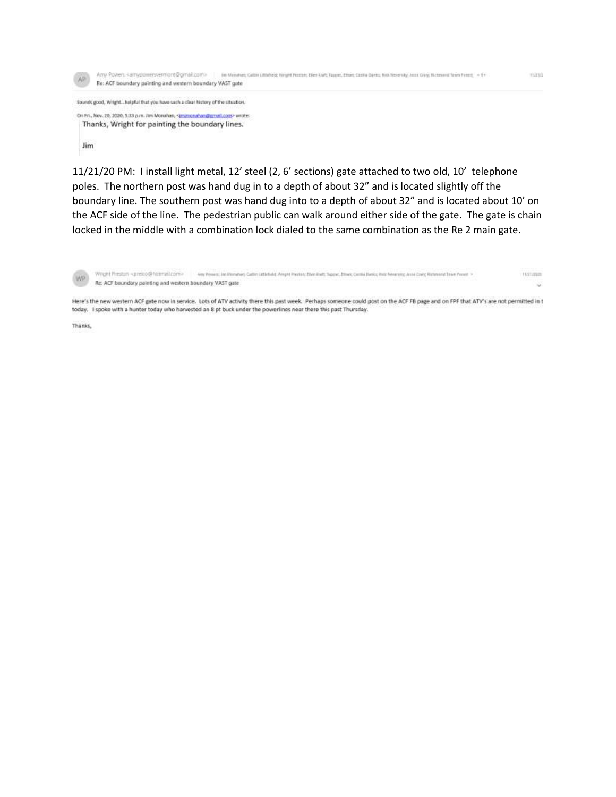

11/21/20 PM: I install light metal, 12' steel (2, 6' sections) gate attached to two old, 10' telephone poles. The northern post was hand dug in to a depth of about 32" and is located slightly off the boundary line. The southern post was hand dug into to a depth of about 32" and is located about 10' on the ACF side of the line. The pedestrian public can walk around either side of the gate. The gate is chain locked in the middle with a combination lock dialed to the same combination as the Re 2 main gate.

Wright Preston <preico@himmal.com> Any Pewant: Jan Monshart, Cattley Littlehiald, Wright Pearles: Ellen Byert, Toyote, Ethiop, Certifa Barrico Water Measuring, Jacob Covy, Richmond Team Pronet, V. Hallasm WP Re: ACF boundary painting and western boundary VAST gate ŵ

Here's the new western ACF gate now in service. Lots of ATV activity there this past week. Perhaps someone could post on the ACF FB page and on FPF that ATV's are not permitted in t today. I spoke with a hunter today who harvested an 8 pt buck under the powerlines near there this past Thursday.

Thanks,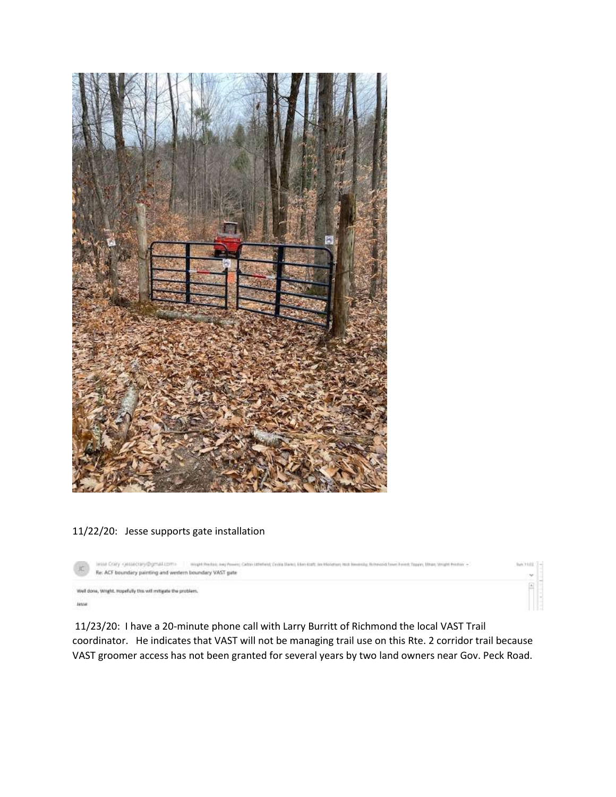

# 11/22/20: Jesse supports gate installation

| 工     | might-Perlink, Jury Power; Catter (2014) (Printers); Cycle Stave; Elem (CLP); Jan Moderato; Not Newman (Billering) Travel Forest; Travely, Ellison, Wright Petriler, +<br>lesse Crary cessecran@gmal.com><br>Re: ACF boundary painting and western boundary VAST gate | $-100$      |
|-------|-----------------------------------------------------------------------------------------------------------------------------------------------------------------------------------------------------------------------------------------------------------------------|-------------|
| lasse | Well done, Wright. Hopefully this will mitigate the problem.<br>2012년 2012년 1월 20일 20일 20일 20일 20일 20일 20일 20일                                                                                                                                                        | <b>Call</b> |

11/23/20: I have a 20-minute phone call with Larry Burritt of Richmond the local VAST Trail coordinator. He indicates that VAST will not be managing trail use on this Rte. 2 corridor trail because VAST groomer access has not been granted for several years by two land owners near Gov. Peck Road.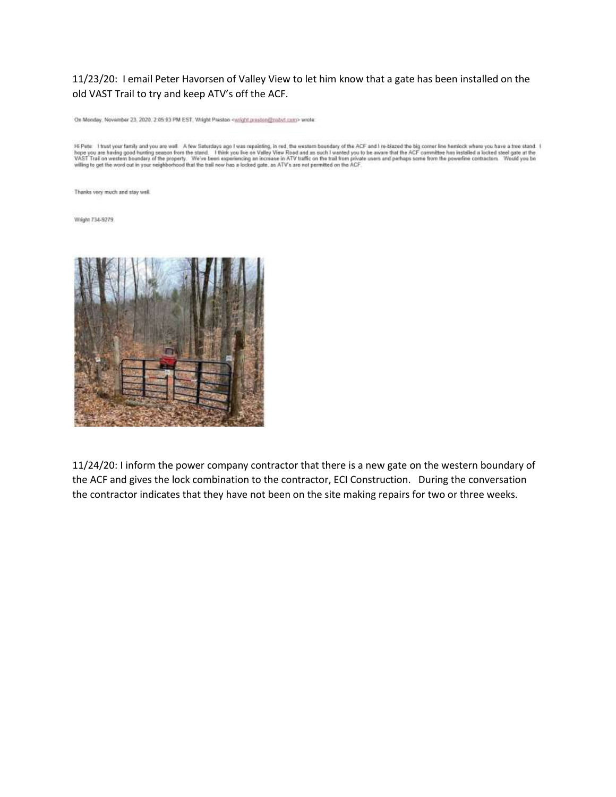## 11/23/20: I email Peter Havorsen of Valley View to let him know that a gate has been installed on the old VAST Trail to try and keep ATV's off the ACF.

On Monday, November 23, 2020, 2:05:03 PM EST, Wright Preston <wight.preston@mbvt.com> wrote

HE Pete I trust your family and you are well. A few Saturdays age I was repainting, in red, the western boundary of the ACF and I re-blazed the big comer line hemitics where you have a tree stand. I hope you are having goo

Thanks very much and stay well.

Wright 734-9279



11/24/20: I inform the power company contractor that there is a new gate on the western boundary of the ACF and gives the lock combination to the contractor, ECI Construction. During the conversation the contractor indicates that they have not been on the site making repairs for two or three weeks.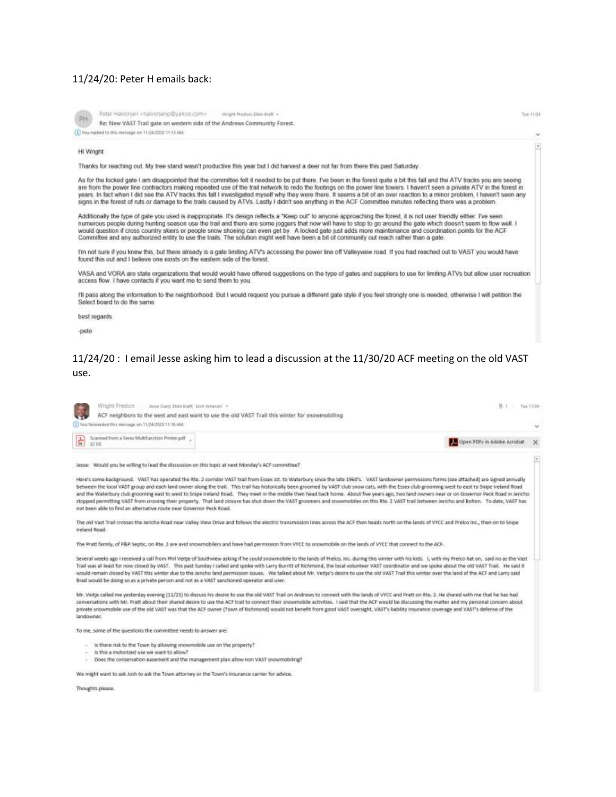#### 11/24/20: Peter H emails back:

|    | Peter Halvorsen <halvorsenp@yah< th=""><th></th></halvorsenp@yah<> |  |
|----|--------------------------------------------------------------------|--|
| D) | Re: New VAST Trail gate on weste                                   |  |
|    | (1) You neeked to this message on 11/24/2020 11:13:466             |  |

Peter Halvorsen <halvorsenp@yahoo.com> www.helton.Ellen kult + Re: New VAST Trail gate on western side of the Andrews Community Forest. Tue 11/24

閘

#### HI Wright

Thanks for reaching out. My tree stand wasn't productive this year but I did harvest a deer not far from there this past Saturday.

As for the locked gate I am disappointed that the committee felt it needed to be put there. I've been in the forest quite a bit this fall and the ATV tracks you are seeing are from the power line contractors making repeated use of the trail network to redo the footings on the power line towers. I haven't seen a private ATV in the forest in<br>yours. In fact when I did see the ATV tracks this fa signs in the forest of ruts or damage to the trails caused by ATVs. Lastly I didn't see anything in the ACF Committee minutes reflecting there was a problem

Additionally the type of gate you used is inappropriate. It's design reflects a "Keep out" to anyone approaching the forest, it is not user friendly either. I've seen numerous people during hunting season use the trail and there are some joggers that now will have to stop to go around the gate which doesn't seem to flow well. I would question if cross country skiers or people snow shoeing can even get by. A locked gate just adds more maintenance and coordination points for the ACF<br>Committee and any authorized entity to use the trails. The solutio

Tm not sure if you knew this, but there already is a gate limiting ATV's accessing the power line off Valleyview road. If you had reached out to VAST you would have found this out and I believe one exists on the eastern side of the forest.

VASA and VORA are state organizations that would would have offered suggestions on the type of gates and suppliers to use for limiting ATVs but allow user recreation access flow. I have contacts if you want me to send them to you.

I'll pass along the information to the neighborhood. But I would request you pursue a different gate style if you feel strongly one is needed, otherwise I will petition the Select board to do the same

best regards

-pete

## 11/24/20: I email Jesse asking him to lead a discussion at the 11/30/20 ACF meeting on the old VAST use.

| Josep Corp. Elian Braft, Josh American<br>Wright Freston<br>ACF neighbors to the west and east want to use the old VAST Trail this winter for snowmobiling                                                                                                                                                                                                                                                                                                                                                                                                                                                                                                                                                                                                                                                                                                                          | Tue 11/24<br>码: 1                      |  |
|-------------------------------------------------------------------------------------------------------------------------------------------------------------------------------------------------------------------------------------------------------------------------------------------------------------------------------------------------------------------------------------------------------------------------------------------------------------------------------------------------------------------------------------------------------------------------------------------------------------------------------------------------------------------------------------------------------------------------------------------------------------------------------------------------------------------------------------------------------------------------------------|----------------------------------------|--|
| 1) You foowarded this massage on 11/34/2020 11:18 AM.                                                                                                                                                                                                                                                                                                                                                                                                                                                                                                                                                                                                                                                                                                                                                                                                                               | $\sim$                                 |  |
| Scanned from a Xensi Multifunction Printer.pdf<br>$\left  \frac{1}{n} \right $ Scanne                                                                                                                                                                                                                                                                                                                                                                                                                                                                                                                                                                                                                                                                                                                                                                                               | Open PDFs in Adobe Acrobat<br>$\times$ |  |
| lesse: Would you be willing to lead the discussion on this topic at next Monday's ACF committee?                                                                                                                                                                                                                                                                                                                                                                                                                                                                                                                                                                                                                                                                                                                                                                                    |                                        |  |
| Here's some background. VAST has operated the Rte. 2 corridor VAST trail from Essex Jct. to Waterbury since the late 1960's. VAST landowner permissions forms (see attached) are signed annually<br>between the local VAST group and each land owner along the trail. This trail has historically been groomed by VAST club snow cats, with the Essex club grooming west to east to Snipe Ireland Road<br>and the Waterbury club grooming east to west to Snipe Ireland Road. They meet in the middle then head back home. About five years ago, two land owners near or on Governor Peck Road in Jericho<br>stopped permitting VAST from crossing their property. That land closure has shut down the VAST groomers and snowmobiles on this Rte. 2 VAST trail between lericho and Bolton. To date, VAST has<br>not been able to find an alternative route near Governor Peck Road. |                                        |  |

The old Vast Trail crosses the Jericho Road near Valley View Drive and follows the electric transmission lines across the ACF then heads north on the lands of VVCC and Preico inc., then on to Snipe Ireland Road.

The Pratt family, of P&P Septic, on Rte. 2 are avid snowmobilers and have had permission from VYCC to snowmobile on the lands of VYCC that connect to the ACF.

Several weeks ago I received a call from Phil Veitje of Southview asking if he could snowmobile to the lands of Prelico, Inc. during this winter with his kids. I, with my Prelico hat on, said no as the Vast Trail was at least for now closed by VAST. This past Sunday i called and spoke with Larry Burntt of Richmond, the local volunteer VAST coordinator and we spoke about the old VAST Thail. He said it would remain closed by VAST this winter due to the Jericho land permission issues. We talked about Mr. Veitje's desire to use the old VAST Trail this winter over the land of the ACF and Larry said Brad would be doing so as a private person and not as a VAST sanctioned operator and user.

Mr. Veitje called me yesterday evening (11/23) to discuss his desire to use the old VAST Trail on Andrews to connect with the lands of VYCC and Pratt on Rte. 2. He shared with me that he has had conversations with Mr. Pratt about their shared desire to use the ACF trail to connect their snowmobile activities. I said that the ACF would be discussing the matter and my personal concern about private snowmobile use of the old VAST was that the ACF owner (Town of Richmond) would not benefit from good VAST oversight, VAST's lability insurance coverage and VAST's defense of the landowner

To me, some of the questions the committee needs to answer are:

- is there risk to the Town by allowing snowmobile use on the property?
- is this a motorized use we want to allow?
- Does the conservation easement and the management plan allow non VAST snowmobiling?

We might want to ask josh to ask the Town attorney or the Town's insurance carrier for advice.

Thoughts please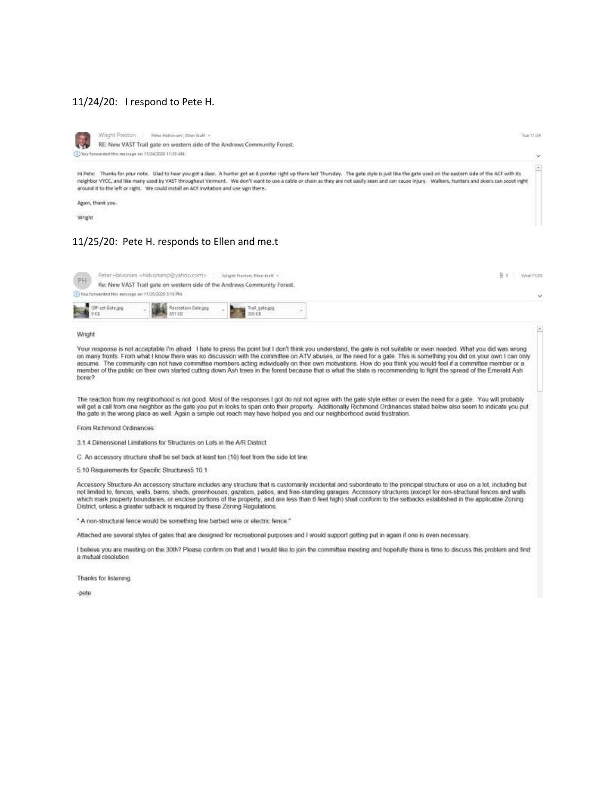#### 11/24/20: I respond to Pete H.



Wright Preston Pider Haborount | Ellen Kraft = RE: New VAST Trail gate on western side of the Andrews Community Forest. (1) You forwarded this inessage on 11/24/2020 11:29 AM.

Hi Pete: Thanks for your note. Glad to hear you got a deer. A hunter got an il pointer right up there last Thursday. The gate style is just like the gate used on the eastern side of the ACF with its neighbor VYCC, and like many used by VAST throughout Vermont. We don't want to use a cable or chain as they are not easily seen and can cause injury. Walkers, hunters and skiers can scoot right around it to the left or right. We could install an ACF invitation and use sign there.

Azain, thank you.

Wright

### 11/25/20: Pete H. responds to Ellen and me.t

| PH |                                                        | Peter Halvorsen <halvorsemp@yahoo.com></halvorsemp@yahoo.com> | Vinghi Presture Tilen fault<br>Re: New VAST Trail gate on western side of the Andrews Community Forest. |  | Wed: 11/25 |
|----|--------------------------------------------------------|---------------------------------------------------------------|---------------------------------------------------------------------------------------------------------|--|------------|
|    | [ J Fou forwarded this electage on 11/25/2020 3:18 PM. |                                                               |                                                                                                         |  | v          |
|    | Off-set Sate (pg)                                      |                                                               |                                                                                                         |  |            |

Wright

Your response is not acceptable I'm afraid. I hate to press the point but I don't think you understand, the gale is not suitable or even needed. What you did was wrong on many fronts. From what I know there was no discussion with the committee on ATV abuses, or the need for a gate. This is something you did on your own I can only assume. The community can not have committee members acting individually on their own motivations. How do you think you would feel if a committee member or a member of the public on their own started cutting down Ash trees in the forest because that is what the state is recommending to fight the spread of the Emerald Ash borer?

The reaction from my neighborhood is not good. Most of the responses I got do not not agree with the gate style either or even the need for a gate. You will probably will get a call from one neighbor as the gate you put in looks to span onto their property. Additionally Richmond Ordinances stated below also seem to indicate you put the gate in the wrong place as well. Again a simple out reach may have helped you and our neighborhood avoid frustration.

From Richmond Ordinances

3.1.4 Dimensional Limitations for Structures on Lots in the A/R District

C. An accessory structure shall be set back at least ten (10) feet from the side lot line.

5.10 Requirements for Specific Structures5.10.1

Accessory Structure-An accessory structure includes any structure that is customarily incidental and subordinate to the principal structure or use on a lot. including but not limited to, fences, walls, barns, sheds, greenhouses, gazebos, patios, and free-standing garages. Accessory shuctures (except for non-structural fences and walls which mark property boundaries, or enclose portions of the property, and are less than 6 feel high) shall conform to the setbacks established in the applicable Zoning District, unless a greater setback is required by these Zoning Regulations.

\* A non-structural fence would be something line barbed wire or electric fence."

Attached are several styles of gates that are designed for recreational purposes and I would support getting put in again if one is even necessary.

I believe you are meeting on the 30th? Please confirm on that and I would like to join the committee meeting and hopefully there is time to discuss this problem and find a mutual resolution.

Thanks for listening.

-pete

Tue 11/24

w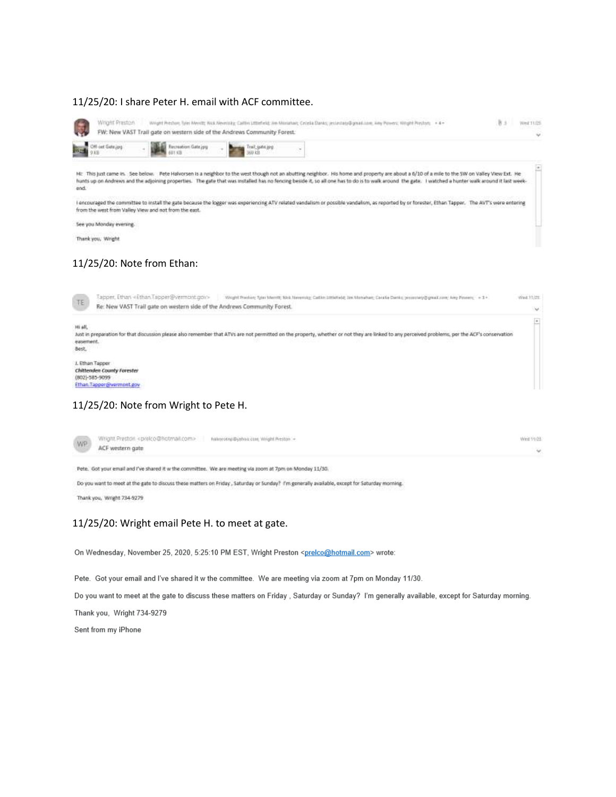### 11/25/20: I share Peter H. email with ACF committee.

| Wright Preston<br>Weight Preston: faire Menttt; Nick Neverisky; Califin (ittlefield; Am Monaturi; Celeba Danks; jesteinkry@gerak.com; Amy Powers; Witght Preston; +4-<br>FW: New VAST Trail gate on western side of the Andrews Community Forest.                                                                                                                                                              | B s<br><b>Areal 11.05</b> |
|----------------------------------------------------------------------------------------------------------------------------------------------------------------------------------------------------------------------------------------------------------------------------------------------------------------------------------------------------------------------------------------------------------------|---------------------------|
| <b>Off-set Gate.jpg</b><br>Recreation Gate jpg<br>Trail gate.gog<br>御お前<br><b>KB</b>                                                                                                                                                                                                                                                                                                                           |                           |
| HE This just came in . See below. Pete Halvorsen is a neighbor to the west though not an abutting neighbor. His home and property are about a 6/10 of a mile to the SW on Valley View Ext. He<br>hunts up on Andrews and the adjoining properties. The gate that was installed has no fencing beside it, so all one has to do is to walk around the gate. I watched a hunter walk around it last week-<br>end. |                           |
| I encouraged the committee to install the gate because the logger was experiencing ATV related vandalism or possible vandalism, as reported by or forester, Ethan Tapper. The AVT's were entering<br>from the west from Valley View and not from the east.                                                                                                                                                     |                           |
| See you Monday evening.                                                                                                                                                                                                                                                                                                                                                                                        |                           |
| Thank you, Wright                                                                                                                                                                                                                                                                                                                                                                                              |                           |
| 11/25/20: Note from Ethan:<br>Tapper, Ethan <ethan tapper@vermont.gov=""><br/>Wright Practice; Tyles Mentit; Nick Neversity: Cathin (Ithkhadd) Doc Michaltan; Cacada Danks; presentary@great.com/ Amy Powers; = 1 =<br/>TE.<br/>Re: New VAST Trail gate on western side of the Andrews Community Forest.</ethan>                                                                                               | Wed: 11/25<br>$\sim$      |
| Hi all.<br>Just in preparation for that discussion please also remember that ATVs are not permitted on the property, whether or not they are linked to any perceived problems, per the ACF's conservation                                                                                                                                                                                                      | $\bullet$                 |
| easement.<br>Best.                                                                                                                                                                                                                                                                                                                                                                                             |                           |

## 11/25/20: Note from Wright to Pete H.

| <b>WP</b> | Wright Prestori <prelco@hotmail.com> haivesent@yshox.com, Wright Preston +</prelco@hotmail.com> | Wed 11/25 |
|-----------|-------------------------------------------------------------------------------------------------|-----------|
|           | ACF western gate<br>경제32. 한 동차가 일정적 정                                                           |           |
|           |                                                                                                 |           |

Pete. Got your email and I've shared it w the committee. We are meeting via zoom at 7pm on Monday 11/30.

Do you want to meet at the gate to discuss these matters on Friday, Saturday or Sunday? I'm generally available, except for Saturday moming. Thank you, Wright 734-9279

## 11/25/20: Wright email Pete H. to meet at gate.

On Wednesday, November 25, 2020, 5:25:10 PM EST, Wright Preston <prelco@hotmail.com> wrote:

Pete. Got your email and I've shared it w the committee. We are meeting via zoom at 7pm on Monday 11/30.

Do you want to meet at the gate to discuss these matters on Friday, Saturday or Sunday? I'm generally available, except for Saturday morning.

Thank you, Wright 734-9279

Sent from my iPhone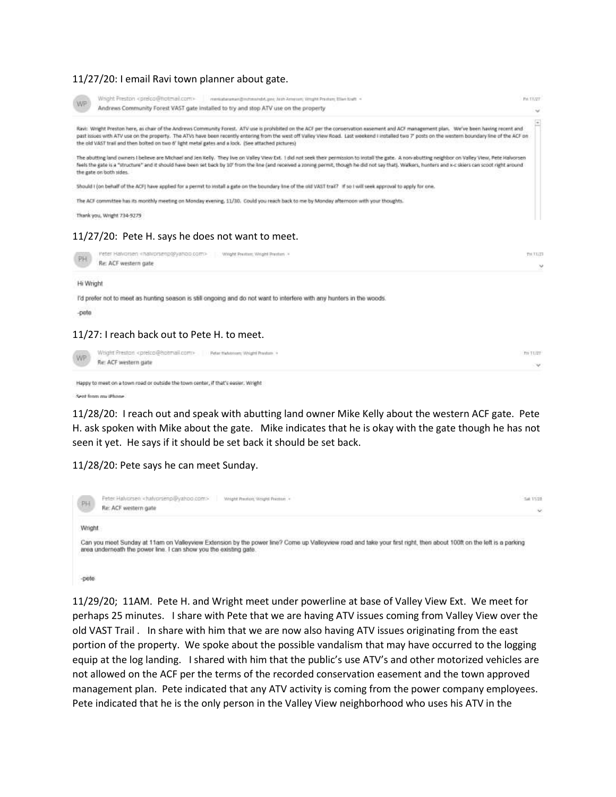## 11/27/20: I email Ravi town planner about gate.

| Wright Preston <prelco@hotmial.com><br/>evertisiteramen@mchmonisht.gov; Jesh American; Wright Preshins Ellen fowlt =<br/>WP</prelco@hotmial.com>                                                                                                                                                                                                                                                                                                                                                      | PH.TT/2T   |
|-------------------------------------------------------------------------------------------------------------------------------------------------------------------------------------------------------------------------------------------------------------------------------------------------------------------------------------------------------------------------------------------------------------------------------------------------------------------------------------------------------|------------|
| Andrews Community Forest VAST gate installed to try and stop ATV use on the property                                                                                                                                                                                                                                                                                                                                                                                                                  | $\sim$     |
| Ravi: Wright Preston here, as char of the Andrews Community Forest. ATV use is prohibited on the ACF per the conservation easement and ACF management plan. We've been having recent and<br>past issues with ATV use on the property. The ATVs have been recently entering from the west off Valley View Road. Last weekend I installed two 7' posts on the western boundary line of the ACF on<br>the old VAST trail and then bolted on two 6' light metal gates and a lock. (See attached pictures) | Ξ          |
| The abutting land owners I believe are Michael and Jen Kelly. They live on Valley View Ext. 1 did not seek their permission to install the gate. A non-abutting neighbor on Valley View, Pete Halvorsen<br>feels the gate is a "structure" and it should have been set back by 10" from the line (and received a zoning permit, though he did not say that). Walkers, hunters and x-c skiers can scoot right around<br>the gate on both sides.                                                        |            |
| Should I (on behalf of the ACF) have applied for a permit to install a gate on the boundary line of the old VAST trail? If so I will seek approval to apply for one.                                                                                                                                                                                                                                                                                                                                  |            |
| The ACF committee has its monthly meeting on Monday evening, 11/30. Could you reach back to me by Monday afternoon with your thoughts.                                                                                                                                                                                                                                                                                                                                                                |            |
| Thank you, Wright 734-9279                                                                                                                                                                                                                                                                                                                                                                                                                                                                            |            |
| 11/27/20: Pete H. says he does not want to meet.                                                                                                                                                                                                                                                                                                                                                                                                                                                      |            |
| Peter Halvorsen «natuorsenp@yahoo.com»<br>Wright Prentiert, Wright Prentiers .*<br>PH.<br>Re: ACF western gate                                                                                                                                                                                                                                                                                                                                                                                        | THALL<br>w |
|                                                                                                                                                                                                                                                                                                                                                                                                                                                                                                       |            |

Hi Wright

I'd prefer not to meet as hunting season is still ongoing and do not want to interfere with any hunters in the woods.

-pete

#### 11/27: I reach back out to Pete H. to meet.

| WP | Wright Prestor: <prelco@hotmail.com> Pater Haterrers Wright Predux &gt;</prelco@hotmail.com> | Fir TUZT<br>. |
|----|----------------------------------------------------------------------------------------------|---------------|
|    | Re: ACF western gate                                                                         |               |

```
Happy to meet on a town road or outside the town center, if that's easier. Wright
```
Sent from my iPhone

11/28/20: I reach out and speak with abutting land owner Mike Kelly about the western ACF gate. Pete H. ask spoken with Mike about the gate. Mike indicates that he is okay with the gate though he has not seen it yet. He says if it should be set back it should be set back.

11/28/20: Pete says he can meet Sunday.



-pete

11/29/20; 11AM. Pete H. and Wright meet under powerline at base of Valley View Ext. We meet for perhaps 25 minutes. I share with Pete that we are having ATV issues coming from Valley View over the old VAST Trail . In share with him that we are now also having ATV issues originating from the east portion of the property. We spoke about the possible vandalism that may have occurred to the logging equip at the log landing. I shared with him that the public's use ATV's and other motorized vehicles are not allowed on the ACF per the terms of the recorded conservation easement and the town approved management plan. Pete indicated that any ATV activity is coming from the power company employees. Pete indicated that he is the only person in the Valley View neighborhood who uses his ATV in the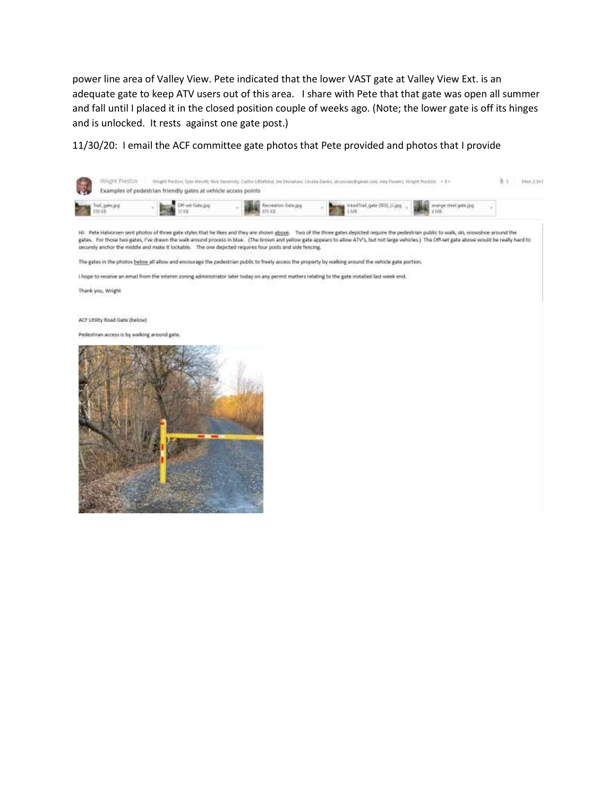power line area of Valley View. Pete indicated that the lower VAST gate at Valley View Ext. is an adequate gate to keep ATV users out of this area. I share with Pete that that gate was open all summer and fall until I placed it in the closed position couple of weeks ago. (Note; the lower gate is off its hinges and is unlocked. It rests against one gate post.)

11/30/20: I email the ACF committee gate photos that Pete provided and photos that I provide

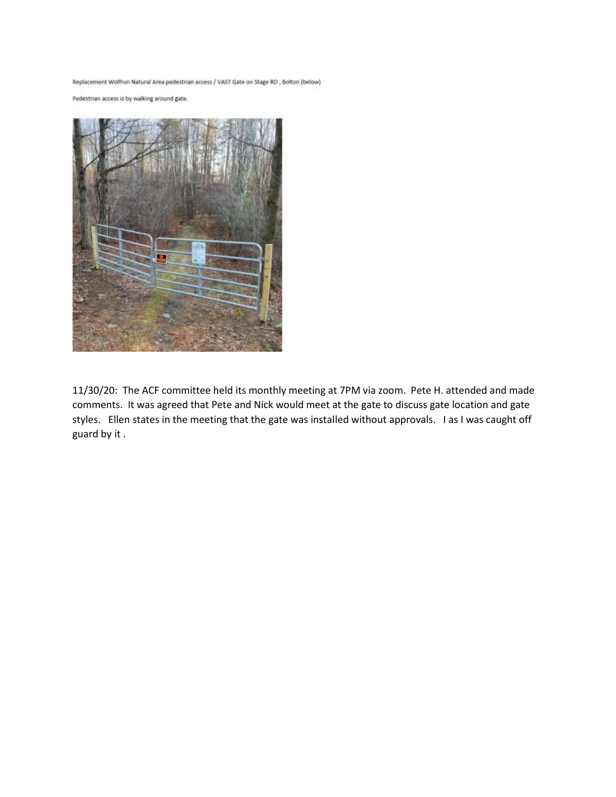Replacement Wolfrun Natural Area pedestrian access / VAST Gate on Stage RD , Bolton (below)

Pedestrian access is by walking around gate.



11/30/20: The ACF committee held its monthly meeting at 7PM via zoom. Pete H. attended and made comments. It was agreed that Pete and Nick would meet at the gate to discuss gate location and gate styles. Ellen states in the meeting that the gate was installed without approvals. I as I was caught off guard by it .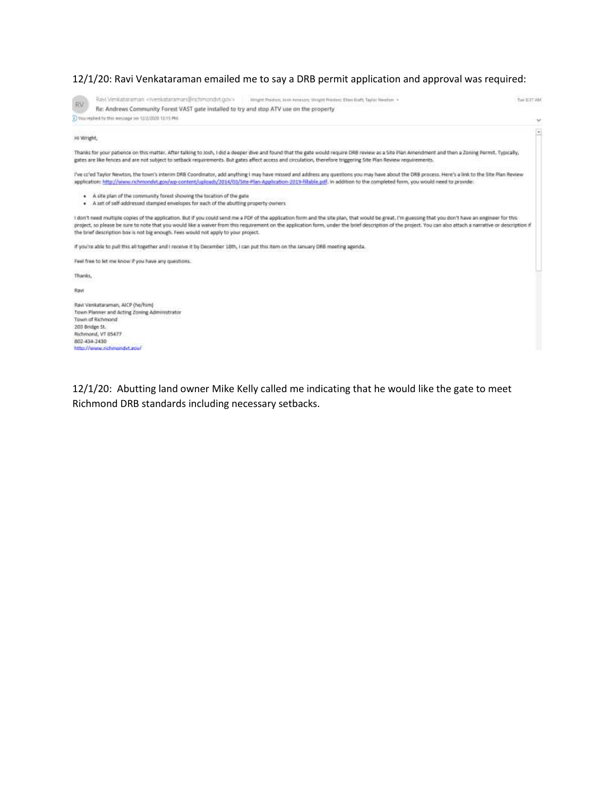# 12/1/20: Ravi Venkataraman emailed me to say a DRB permit application and approval was required:

| RV          | Ravi Venkataraman «nienkataraman@richmondvt.gdv»<br>Wright Predium Josh American Wright Preston; Elleri Kraft; Taylor Newton: +                                                                                                                                                                                                                                                                                                                                                                              | Tue 0.37 AM              |
|-------------|--------------------------------------------------------------------------------------------------------------------------------------------------------------------------------------------------------------------------------------------------------------------------------------------------------------------------------------------------------------------------------------------------------------------------------------------------------------------------------------------------------------|--------------------------|
|             | Re: Andrews Community Forest VAST gate installed to try and stop ATV use on the property                                                                                                                                                                                                                                                                                                                                                                                                                     |                          |
|             | 1) You replied to this message on 12/3/2020 12:19 PM.                                                                                                                                                                                                                                                                                                                                                                                                                                                        | $\omega$                 |
| Hi Wright,  |                                                                                                                                                                                                                                                                                                                                                                                                                                                                                                              | $\overline{\phantom{a}}$ |
|             | Thanks for your patience on this matter. After talking to Josh, I did a deeper dive and found that the gate would require DRB review as a Site Plan Amendment and then a Zoning Permit. Typically,<br>gates are like fences and are not subject to setback requirements. But gates affect access and circulation, therefore triggering Site Plan Review requirements.                                                                                                                                        |                          |
|             | I've ct'ed Taylor Newton, the town's interim DRB Coordinator, add anything I may have missed and address any questions you may have about the DRB process. Here's a link to the Site Plan Review<br>application: http://www.nchmondvt.gov/wp-content/uploads/2014/03/Site-Plan-Application-2019-fillable.pdf, in addition to the completed form, you would need to provide:                                                                                                                                  |                          |
| ۰           | . A site plan of the community forest showing the location of the gate<br>A set of self-addressed stamped envelopes for each of the abutting property owners                                                                                                                                                                                                                                                                                                                                                 |                          |
|             | I don't need multiple copies of the application. But if you could send me a PDF of the application form and the site plan, that would be great, I'm guessing that you don't have an engineer for this-<br>project, so please be sure to note that you would like a waiver from this requirement on the application form, under the brief description of the project. You can also attach a narrative or description if<br>the brief description box is not big enough. Fees would not apply to your project. |                          |
|             | If you're able to pull this all together and I receive it by December 18th, I can put this item on the January DRB meeting agenda.                                                                                                                                                                                                                                                                                                                                                                           |                          |
|             | Feet free to let me know if you have any questions.                                                                                                                                                                                                                                                                                                                                                                                                                                                          |                          |
| Thanks,     |                                                                                                                                                                                                                                                                                                                                                                                                                                                                                                              |                          |
| <b>Rayt</b> |                                                                                                                                                                                                                                                                                                                                                                                                                                                                                                              |                          |
|             | Ravi Venkataraman, AICP (he/him)<br>Town Planner and Acting Zoning Administrator<br>Town of Richmond<br>203 Bridge St.<br>Richmond, VT 05477<br>802 434 2430                                                                                                                                                                                                                                                                                                                                                 |                          |
|             | http://www.richmondvt.eou/                                                                                                                                                                                                                                                                                                                                                                                                                                                                                   |                          |

12/1/20: Abutting land owner Mike Kelly called me indicating that he would like the gate to meet Richmond DRB standards including necessary setbacks.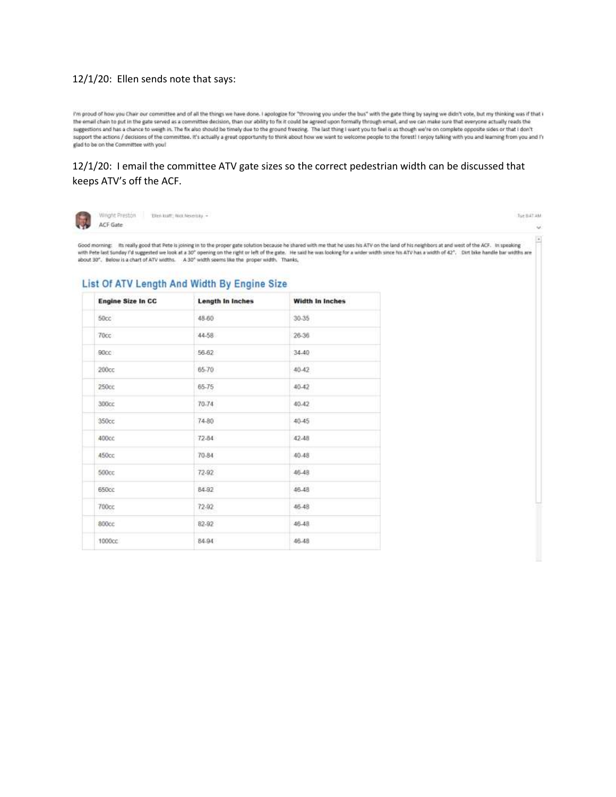## 12/1/20: Ellen sends note that says:

I'm proud of how you Chair our committee and of all the things we have done. I apologize for "throwing you under the bus" with the gate thing by saying we didn't vote, but my thinking was if that i the email chain to put in the gate served as a committee decision, than our ability to fix it could be agreed upon formally through email, and we can make sure that everyone actually reads the suggestions and has a chance to weigh in. The fix also should be timely due to the ground freezing. The last thing I want you to feel is as though we're on complete opposite sides or that I don't support the actions / decisions of the committee. It's actually a great opportunity to think about how we want to welcome people to the forest! I enjoy talking with you and learning from you and i'l glad to be on the Committee with you!

## 12/1/20: I email the committee ATV gate sizes so the correct pedestrian width can be discussed that keeps ATV's off the ACF.



Wright Preston Elen kutt; Nick Neieristy +

Tue B47 AM

Good morning: Its really good that Pete is joining in to the proper gate solution because he shared with me that he uses his ATV on the land of his neighbors at and west of the ACF. In speaking with Pete last Sunday I'd suggested we look at a 30" opening on the right or left of the gate. He said he was looking for a wider width since his ATV has a width of 42". Dirt bike handle bar widths are about 30". Below is a chart of ATV widths. A 30" width seems like the proper width. Thanks,

## List Of ATV Length And Width By Engine Size

| <b>Engine Size In CC</b> | Length In Inches | <b>Width In Inches</b> |
|--------------------------|------------------|------------------------|
| 50cc                     | 48-60            | 30-35                  |
| 70cc                     | 44-58            | 26-36                  |
| 90cc:                    | 56.62            | 34.40                  |
| 200 <sub>cc</sub>        | 65-70            | 40.42                  |
| 250cc                    | 65-75            | 40-42                  |
| 300cc                    | 70-74            | 40.42                  |
| 350 <sub>cc</sub>        | 74-80            | 40-45                  |
| 400cc                    | $72-84$          | 42.48                  |
| <b>450cc</b>             | 70-84            | 40.48                  |
| <b>500cc</b>             | 72-92            | 46.48                  |
| 650cc                    | 84.92            | 46.48                  |
| 700cc                    | $72-92$          | 46-48                  |
| 800cc                    | 82-92            | 46.48                  |
| 1000cc                   | 84.94            | 46.48                  |
|                          |                  |                        |